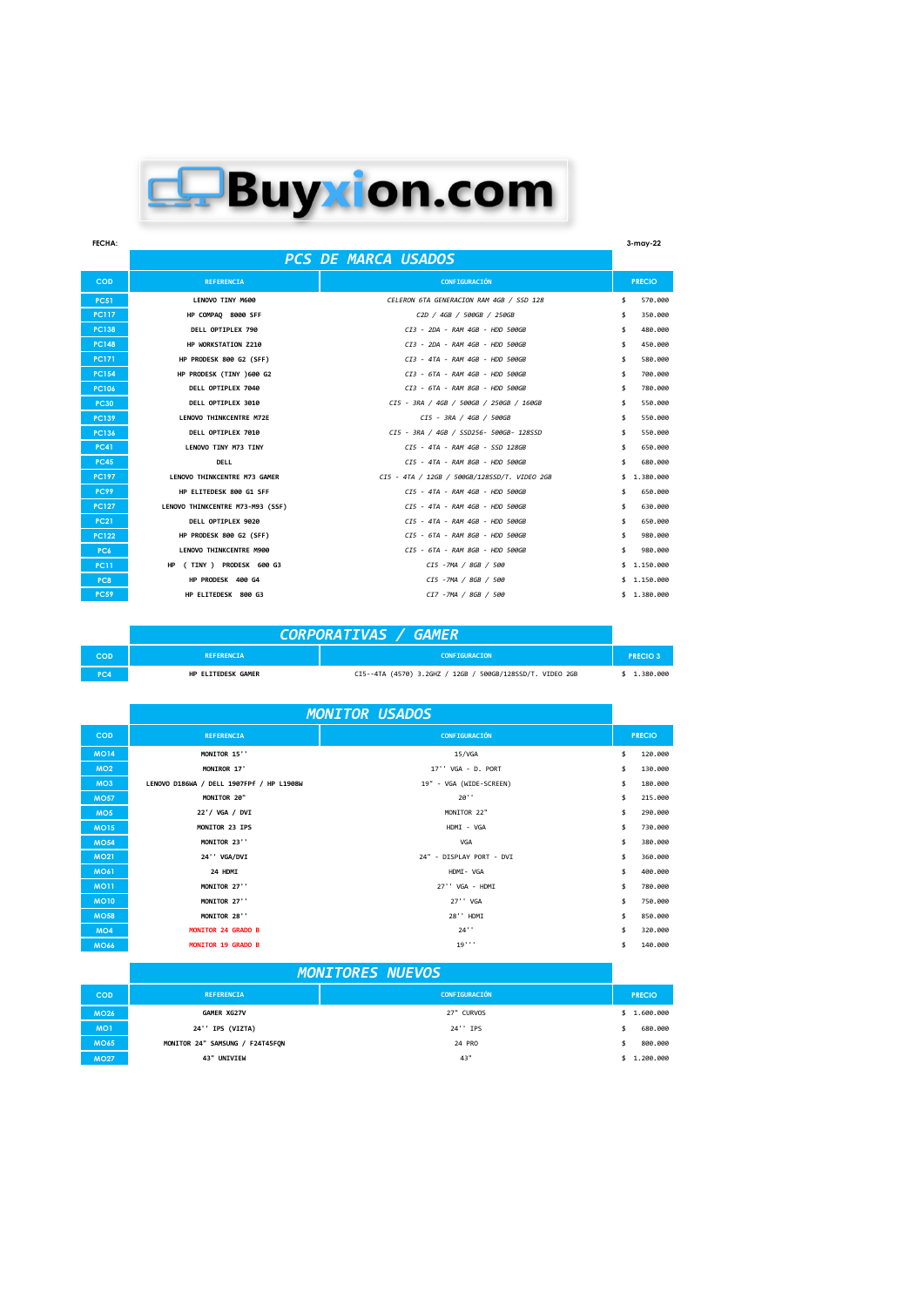## E. Buyxion.com

**FECHA: 3-may-22 COD REFERENCIA CONFIGURACIÓN PRECIO PC51 LENOVO TINY M600 LENOVO TINY M600 CELERON 6TA GENERACION RAM 4GB / SSD 128** \$ 570.000<br>PC117 **HP COMPAQ 8000 SFF** C2D / 4GB / 500GB / 250GB / 250GB / 250GB / 250GB / \$ 350.000 **PC117 HP COMPAQ 8000 SFF** *C2D / 4GB / 500GB / 250GB* \$ 350.000 **PC138 DELL OPTIPLEX 790** *CI3 - 2DA - RAM 4GB - HDD 500GB* **\$ 480.000 PC148 HP WORKSTATION Z210**<br> **PC171 HP PRODESK 800 G2 (SFF)** CI3 - 4TA - RAM 4GB - HDD 500GB<br> **PC154 HP PRODESK (TINY )600 G2** CI3 - 6TA - RAM 4GB - HDD 500GB<br> **PC154 HP PRODESK (TINY )600 G2 PC171 HP PRODESK 800 G2 (SFF)** *CI3 - 4TA - RAM 4GB - HDD 500GB* \$ 580.000 **PC154 HP PRODESK (TINY )600 G2 CI3 - 6TA - RAM 4GB - HDD 500GB** \$ 700.000<br>**PC106 DELL OPTIPLEX 7040 CI3 - 6TA - RAM 8GB - HDD 500GB** \$ 780.000 **PC106 DELL OPTIPLEX 7040**<br> **PC139 DELL OPTIPLEX 7040**<br> **PC136 DELL OPTIPLEX 7010**<br> **PC136 DELL OPTIPLEX 7010**<br> **PC41 LENOVO THINKCENTRE M73 GAMER**<br> **PC41 DELL OPTIPLEX 7010**<br> **PC41 CES** - *ATA* 4GB / 550256-**PC30 DELL OPTIPLEX 3010** *CI5 - 3RA / 4GB / 500GB / 250GB / 160GB* \$ 550.000 **PC139 LENOVO THINKCENTRE M72E** *CI5 - 3RA / 4GB / 500GB* \$ 550.000 **PC136 DELL OPTIPLEX 7010** *CI5 - 3RA / 4GB / SSD256- 500GB- 128SSD* \$ 550.000 **PC41 LENOVO TINY M73 TINY** *CI5 - 4TA - RAM 4GB - SSD 128GB* \$ 650.000 **PC45 DELL** *CI5 - 4TA - RAM 8GB - HDD 500GB* \$ 680.000 **PC197 LENOVO THINKCENTRE M73 GAMER** *CI5 - 4TA / 12GB / 500GB/128SSD/T. VIDEO 2GB* \$ 1.380.000 **PC99 HP ELITEDESK 800 G1 SFF** *CI5 - 4TA - RAM 4GB - HDD 500GB* \$ 650.000 **PC127 LENOVO THINKCENTRE M73-M93 (SSF)** *CI5 - 4TA - RAM 4GB - HDD 500GB* \$ 630.000 **PC21 DELL OPTIPLEX 9020** *CI5 - 4TA - RAM 4GB - HDD 500GB* \$ 650.000 **PC122 HP PRODESK 800 G2 (SFF) CI5** - 6TA - RAM 8GB - HDD 500GB \$ 980.000<br> **PC6 LENOVO THINKCENTRE M900**<br> **PC11 HP** (TINY) PRODESK 600 G3<br> **PC8 HP PRODESK 400 G4** CI5 - 7MA / 8GB / 500<br>
CI5 - 7MA / 8GB / 500<br>
CI5 **PC6 LENOVO THINKCENTRE M900** *CI5 - 6TA - RAM 8GB - HDD 500GB* \$ 980.000 **HP ( TINY ) PRODESK 600 G3 CI5** -7MA / 8GB / 500 **\$** 1.150.000 **HP PRODESK 400 G4 CI5 -7MA / 8GB / 500 CI5 -7MA / 8GB / 500 \$ 1.150.000 PC59 HP ELITEDESK 800 G3** *CI7 -7MA / 8GB / 500* \$ 1.380.000 *PCS DE MARCA USADOS*

## *CORPORATIVAS / GAMER*

| COD    | <b>REFERENCTA</b>  | <b>CONFIGURACION</b>                                      | <b>PRECIO3</b> |
|--------|--------------------|-----------------------------------------------------------|----------------|
| $\sim$ | HP ELITEDESK GAMER | CI5--4TA (4570) 3.2GHZ / 12GB / 500GB/128SSD/T. VIDEO 2GB | .380.000       |

|                 |                                          | <b>MONITOR USADOS</b>    |               |
|-----------------|------------------------------------------|--------------------------|---------------|
| <b>COD</b>      | <b>REFERENCIA</b>                        | CONFIGURACIÓN            | <b>PRECIO</b> |
| <b>MO14</b>     | MONITOR 15"                              | 15/VGA                   | \$<br>120.000 |
| MO2             | MONIROR 17'                              | 17'' VGA - D. PORT       | \$<br>130.000 |
| MO <sub>3</sub> | LENOVO D186WA / DELL 1907FPf / HP L1908W | 19" - VGA (WIDE-SCREEN)  | \$<br>180.000 |
| <b>MO57</b>     | MONITOR 20"                              | 20'                      | \$<br>215,000 |
| MO <sub>5</sub> | 22'/ VGA / DVI                           | MONITOR 22"              | \$<br>290.000 |
| <b>MO15</b>     | MONITOR 23 IPS                           | HDMI - VGA               | \$<br>730,000 |
| <b>MO54</b>     | MONITOR 23"                              | VGA                      | \$<br>380,000 |
| <b>MO21</b>     | 24' VGA/DVI                              | 24" - DISPLAY PORT - DVI | \$<br>360,000 |
| <b>MO61</b>     | 24 HDMI                                  | HDMI- VGA                | \$<br>400.000 |
| <b>MO11</b>     | MONITOR 27"                              | 27'' VGA - HDMI          | \$<br>780,000 |
| <b>MO10</b>     | MONITOR 27''                             | 27'' VGA                 | \$<br>750.000 |
| <b>MO58</b>     | MONITOR 28''                             | 28" HDMI                 | \$<br>850,000 |
| MO <sub>4</sub> | <b>MONITOR 24 GRADO B</b>                | 24'                      | \$<br>320,000 |
| <b>MO66</b>     | <b>MONITOR 19 GRADO B</b>                | 19'                      | \$<br>140.000 |

|                 | <b>MONITORES NUEVOS</b>         |                      |  |               |
|-----------------|---------------------------------|----------------------|--|---------------|
| <b>COD</b>      | <b>REFERENCIA</b>               | <b>CONFIGURACIÓN</b> |  | <b>PRECIO</b> |
| <b>MO26</b>     | GAMER XG27V                     | 27" CURVOS           |  | \$1.600.000   |
| MO <sub>1</sub> | 24'' IPS (VIZTA)                | 24'' IPS             |  | 680,000       |
| <b>MO65</b>     | MONITOR 24" SAMSUNG / F24T45FON | 24 PRO               |  | 800,000       |
| <b>MO27</b>     | 43" UNIVIEW                     | 43"                  |  | \$1.200.000   |